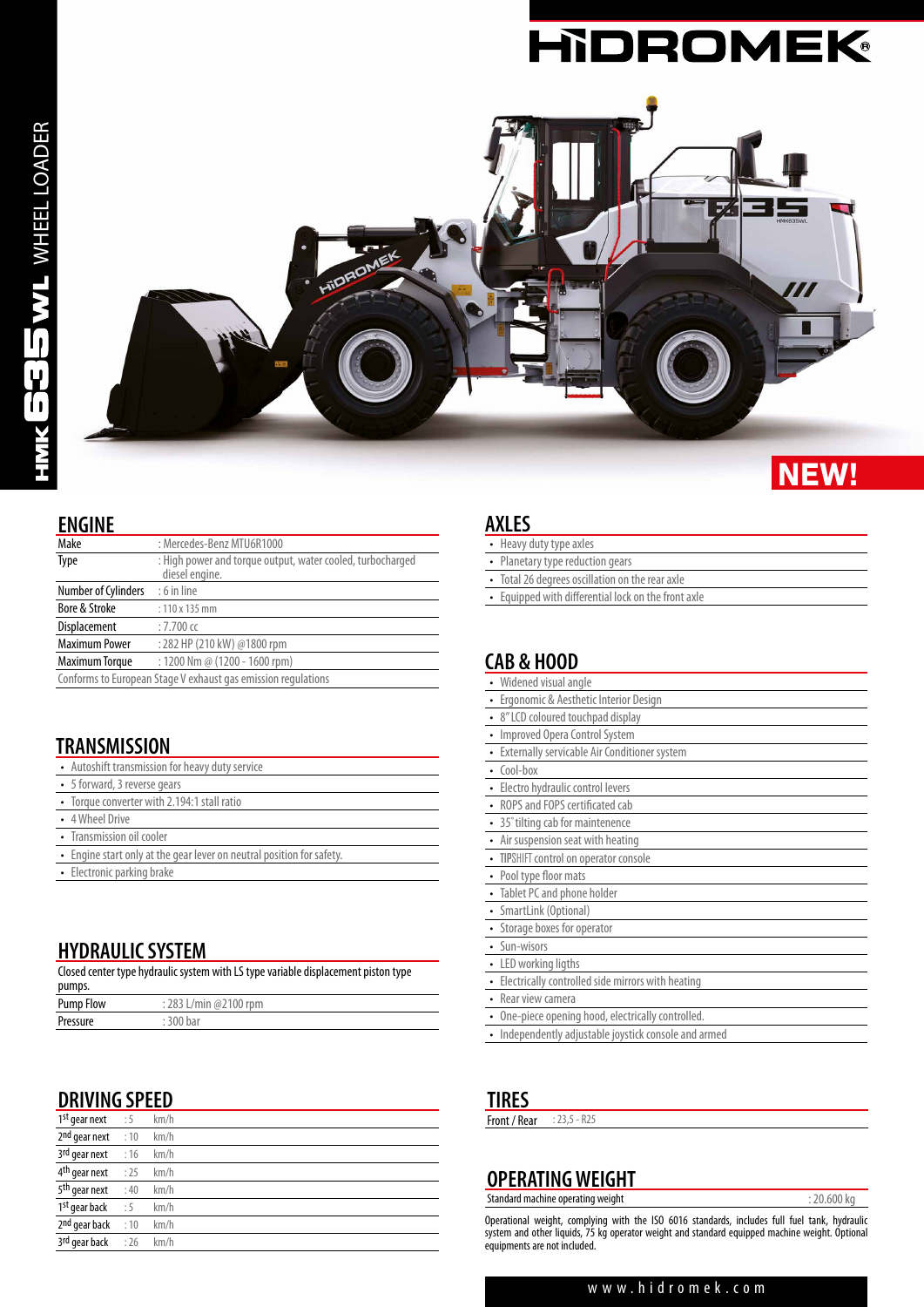

## **NEW!**

 $\overline{\phantom{0}}$ 

#### **ENGINE**

| Make                  | : Mercedes-Benz MTU6R1000                                                    |
|-----------------------|------------------------------------------------------------------------------|
| Type                  | : High power and torque output, water cooled, turbocharged<br>diesel engine. |
| Number of Cylinders   | $: 6$ in line                                                                |
| Bore & Stroke         | $: 110 \times 135$ mm                                                        |
| Displacement          | $:7.700$ cc                                                                  |
| <b>Maximum Power</b>  | : 282 HP (210 kW) @1800 rpm                                                  |
| <b>Maximum Torque</b> | : 1200 Nm @ (1200 - 1600 rpm)                                                |
|                       | Conforms to European Stage V exhaust gas emission regulations                |

## **TRANSMISSION**

| • Autoshift transmission for heavy duty service |  |
|-------------------------------------------------|--|
|-------------------------------------------------|--|

- 5 forward, 3 reverse gears
- Torque converter with 2.194:1 stall ratio
- 4 Wheel Drive
- Transmission oil cooler
- Engine start only at the gear lever on neutral position for safety.
- Electronic parking brake

## **HYDRAULIC SYSTEM**

| Closed center type hydraulic system with LS type variable displacement piston type<br>pumps. |                       |
|----------------------------------------------------------------------------------------------|-----------------------|
| <b>Pump Flow</b>                                                                             | : 283 L/min @2100 rpm |
| Pressure                                                                                     | : 300 bar             |

## **DRIVING SPEED**

| $1^{st}$ gear next $\therefore$ 5        | km/h |
|------------------------------------------|------|
| $2nd$ qear next : 10                     | km/h |
| $3rd$ gear next : 16 km/h                |      |
| $4th$ gear next : 25 km/h                |      |
| 5 <sup>th</sup> gear next : 40           | km/h |
| 1 <sup>st</sup> gear back $\therefore$ 5 | km/h |
| $2nd$ qear back : 10                     | km/h |
| 3rd gear back : 26 km/h                  |      |

#### **AXLES**

| • Heavy duty type axles                             |
|-----------------------------------------------------|
| • Planetary type reduction gears                    |
| • Total 26 degrees oscillation on the rear axle     |
| • Equipped with differential lock on the front axle |
|                                                     |
|                                                     |

## **CAB & HOOD**

# **TIRES**<br>Front / Re

| Front / Rear<br>$: 23.5 - R25$ |
|--------------------------------|
|--------------------------------|

#### **OPERATING WEIGHT** Standard machine operating weight  $: 20.600 \text{ kg}$

Operational weight, complying with the ISO 6016 standards, includes full fuel tank, hydraulic system and other liquids, 75 kg operator weight and standard equipped machine weight. Optional equipments are not included.

#### www.hidromek.com